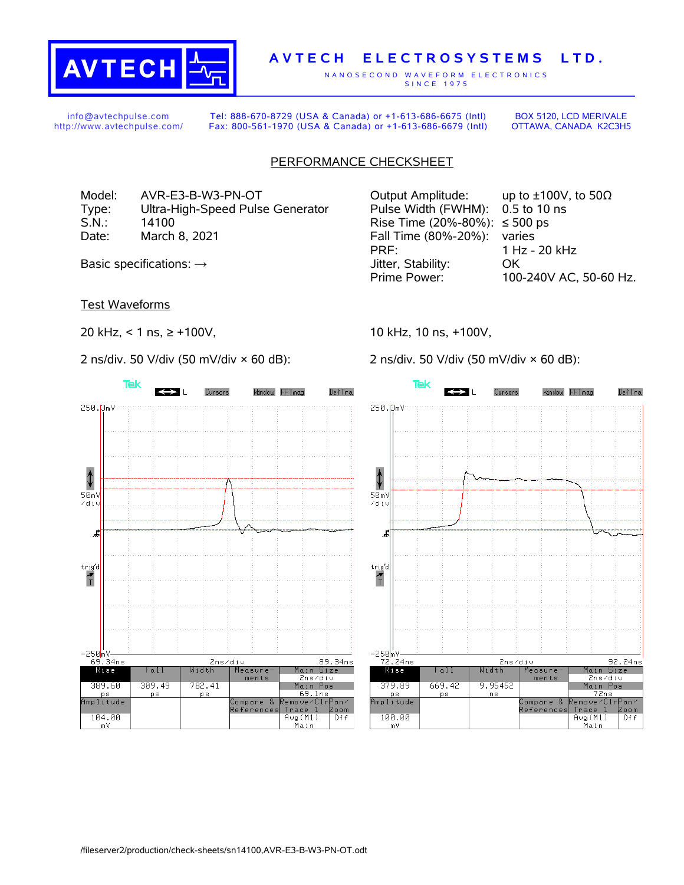

## **A V T E C H E L E C T R O S Y S T E M S L T D .**

N A N O S E C O N D W A V E F O R M E L E C T R O N I C S S IN C E 1975

info@avtechpulse.com http://www.avtechpulse.com/

Tel: 888-670-8729 (USA & Canada) or +1-613-686-6675 (Intl) Fax: 800-561-1970 (USA & Canada) or +1-613-686-6679 (Intl)

BOX 5120, LCD MERIVALE OTTAWA, CANADA K2C3H5

## PERFORMANCE CHECKSHEET

Type: Ultra-High-Speed Pulse Generator Pulse Width (FWHM): 0.5 to 10 ns S.N.: 14100 14100 Rise Time (20%-80%): ≤ 500 ps Date: March 8, 2021 **Fall Time (80%-20%):** varies

Test Waveforms

20 kHz, < 1 ns, ≥ +100V,

2 ns/div. 50 V/div (50 mV/div × 60 dB):



10 kHz, 10 ns, +100V,

2 ns/div. 50 V/div (50 mV/div × 60 dB):



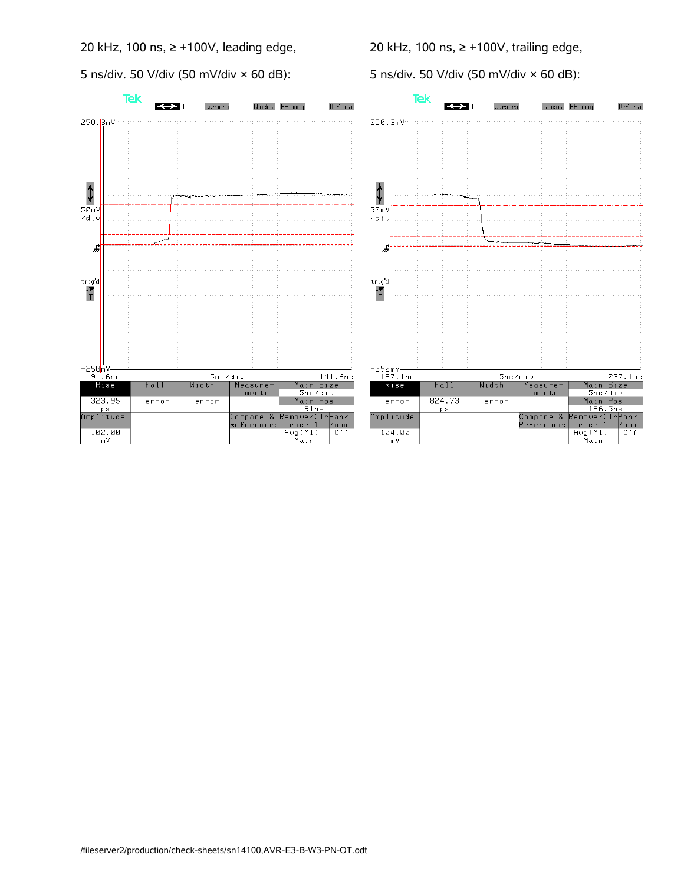20 kHz, 100 ns, ≥ +100V, leading edge,

5 ns/div. 50 V/div (50 mV/div × 60 dB):

20 kHz, 100 ns, ≥ +100V, trailing edge,

5 ns/div. 50 V/div (50 mV/div × 60 dB):